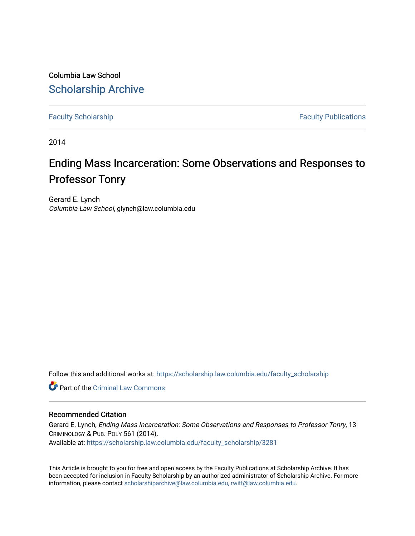Columbia Law School [Scholarship Archive](https://scholarship.law.columbia.edu/) 

[Faculty Scholarship](https://scholarship.law.columbia.edu/faculty_scholarship) **Faculty Scholarship Faculty Publications** 

2014

# Ending Mass Incarceration: Some Observations and Responses to Professor Tonry

Gerard E. Lynch Columbia Law School, glynch@law.columbia.edu

Follow this and additional works at: [https://scholarship.law.columbia.edu/faculty\\_scholarship](https://scholarship.law.columbia.edu/faculty_scholarship?utm_source=scholarship.law.columbia.edu%2Ffaculty_scholarship%2F3281&utm_medium=PDF&utm_campaign=PDFCoverPages)

**C** Part of the Criminal Law Commons

### Recommended Citation

Gerard E. Lynch, Ending Mass Incarceration: Some Observations and Responses to Professor Tonry, 13 CRIMINOLOGY & PUB. POL'Y 561 (2014). Available at: [https://scholarship.law.columbia.edu/faculty\\_scholarship/3281](https://scholarship.law.columbia.edu/faculty_scholarship/3281?utm_source=scholarship.law.columbia.edu%2Ffaculty_scholarship%2F3281&utm_medium=PDF&utm_campaign=PDFCoverPages)

This Article is brought to you for free and open access by the Faculty Publications at Scholarship Archive. It has been accepted for inclusion in Faculty Scholarship by an authorized administrator of Scholarship Archive. For more information, please contact [scholarshiparchive@law.columbia.edu, rwitt@law.columbia.edu](mailto:scholarshiparchive@law.columbia.edu,%20rwitt@law.columbia.edu).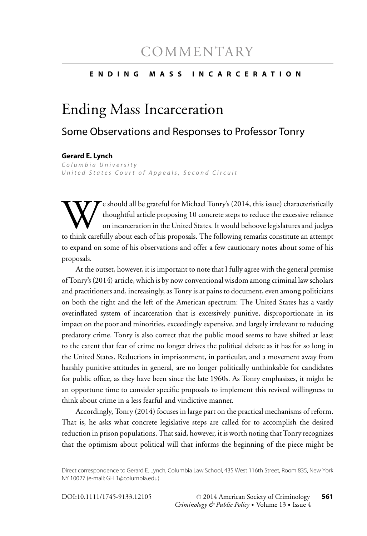## **ENDING MASS INCARCERATION**

# Ending Mass Incarceration

# Some Observations and Responses to Professor Tonry

#### **Gerard E. Lynch**

*<u>Luited States Court</u>*</u> *United States Court of Appeals, Second Circuit*

We should all be grateful for Michael Tonry's (2014, this issue) characteristically<br>thoughtful article proposing 10 concrete steps to reduce the excessive reliance<br>on incarceration in the United States. It would behoove le thoughtful article proposing 10 concrete steps to reduce the excessive reliance on incarceration in the United States. It would behoove legislatures and judges to think carefully about each of his proposals. The following remarks constitute an attempt to expand on some of his observations and offer a few cautionary notes about some of his proposals.

At the outset, however, it is important to note that I fully agree with the general premise of Tonry's (2014) article, which is by now conventional wisdom among criminal law scholars and practitioners and, increasingly, as Tonry is at pains to document, even among politicians on both the right and the left of the American spectrum: The United States has a vastly overinflated system of incarceration that is excessively punitive, disproportionate in its impact on the poor and minorities, exceedingly expensive, and largely irrelevant to reducing predatory crime. Tonry is also correct that the public mood seems to have shifted at least to the extent that fear of crime no longer drives the political debate as it has for so long in the United States. Reductions in imprisonment, in particular, and a movement away from harshly punitive attitudes in general, are no longer politically unthinkable for candidates for public office, as they have been since the late 1960s. As Tonry emphasizes, it might be an opportune time to consider specific proposals to implement this revived willingness to think about crime in a less fearful and vindictive manner.

Accordingly, Tonry (2014) focuses in large part on the practical mechanisms of reform. That is, he asks what concrete legislative steps are called for to accomplish the desired reduction in prison populations. That said, however, it is worth noting that Tonry recognizes that the optimism about political will that informs the beginning of the piece might be

Direct correspondence to Gerard E. Lynch, Columbia Law School, 435 West 116th Street, Room 835, New York NY 10027 (e-mail: GEL1@columbia.edu).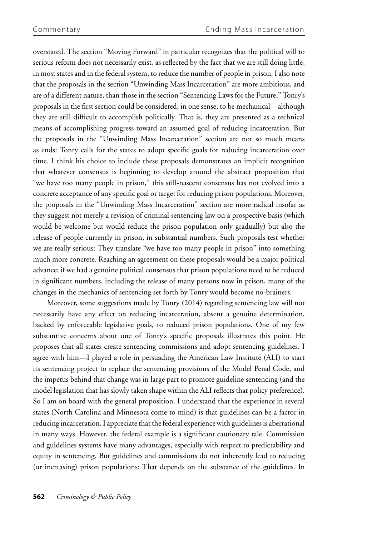overstated. The section "Moving Forward" in particular recognizes that the political will to serious reform does not necessarily exist, as reflected by the fact that we are still doing little, in most states and in the federal system, to reduce the number of people in prison. I also note that the proposals in the section "Unwinding Mass Incarceration" are more ambitious, and are of a different nature, than those in the section "Sentencing Laws for the Future." Tonry's proposals in the first section could be considered, in one sense, to be mechanical—although they are still difficult to accomplish politically. That is, they are presented as a technical means of accomplishing progress toward an assumed goal of reducing incarceration. But the proposals in the "Unwinding Mass Incarceration" section are not so much means as ends: Tonry calls for the states to adopt specific goals for reducing incarceration over time. I think his choice to include these proposals demonstrates an implicit recognition that whatever consensus is beginning to develop around the abstract proposition that "we have too many people in prison," this still-nascent consensus has not evolved into a concrete acceptance of any specific goal or target for reducing prison populations. Moreover, the proposals in the "Unwinding Mass Incarceration" section are more radical insofar as they suggest not merely a revision of criminal sentencing law on a prospective basis (which would be welcome but would reduce the prison population only gradually) but also the release of people currently in prison, in substantial numbers. Such proposals test whether we are really serious: They translate "we have too many people in prison" into something much more concrete. Reaching an agreement on these proposals would be a major political advance; if we had a genuine political consensus that prison populations need to be reduced in significant numbers, including the release of many persons now in prison, many of the changes in the mechanics of sentencing set forth by Tonry would become no-brainers.

Moreover, some suggestions made by Tonry (2014) regarding sentencing law will not necessarily have any effect on reducing incarceration, absent a genuine determination, backed by enforceable legislative goals, to reduced prison populations. One of my few substantive concerns about one of Tonry's specific proposals illustrates this point. He proposes that all states create sentencing commissions and adopt sentencing guidelines. I agree with him—I played a role in persuading the American Law Institute (ALI) to start its sentencing project to replace the sentencing provisions of the Model Penal Code, and the impetus behind that change was in large part to promote guideline sentencing (and the model legislation that has slowly taken shape within the ALI reflects that policy preference). So I am on board with the general proposition. I understand that the experience in several states (North Carolina and Minnesota come to mind) is that guidelines can be a factor in reducing incarceration. I appreciate that the federal experience with guidelines is aberrational in many ways. However, the federal example is a significant cautionary tale. Commission and guidelines systems have many advantages, especially with respect to predictability and equity in sentencing. But guidelines and commissions do not inherently lead to reducing (or increasing) prison populations: That depends on the substance of the guidelines. In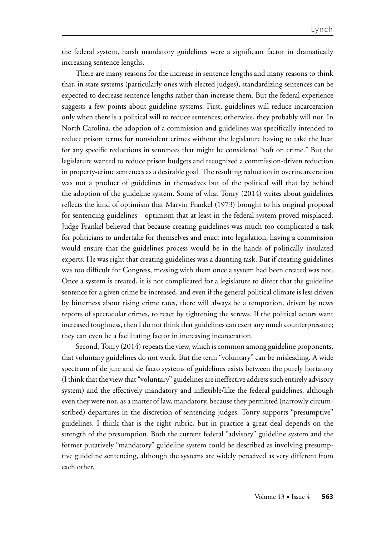the federal system, harsh mandatory guidelines were a significant factor in dramatically increasing sentence lengths.

There are many reasons for the increase in sentence lengths and many reasons to think that, in state systems (particularly ones with elected judges), standardizing sentences can be expected to decrease sentence lengths rather than increase them. But the federal experience suggests a few points about guideline systems. First, guidelines will reduce incarceration only when there is a political will to reduce sentences; otherwise, they probably will not. In North Carolina, the adoption of a commission and guidelines was specifically intended to reduce prison terms for nonviolent crimes without the legislature having to take the heat for any specific reductions in sentences that might be considered "soft on crime." But the legislature wanted to reduce prison budgets and recognized a commission-driven reduction in property-crime sentences as a desirable goal. The resulting reduction in overincarceration was not a product of guidelines in themselves but of the political will that lay behind the adoption of the guideline system. Some of what Tonry (2014) writes about guidelines reflects the kind of optimism that Marvin Frankel (1973) brought to his original proposal for sentencing guidelines—optimism that at least in the federal system proved misplaced. Judge Frankel believed that because creating guidelines was much too complicated a task for politicians to undertake for themselves and enact into legislation, having a commission would ensure that the guidelines process would be in the hands of politically insulated experts. He was right that creating guidelines was a daunting task. But if creating guidelines was too difficult for Congress, messing with them once a system had been created was not. Once a system is created, it is not complicated for a legislature to direct that the guideline sentence for a given crime be increased, and even if the general political climate is less driven by bitterness about rising crime rates, there will always be a temptation, driven by news reports of spectacular crimes, to react by tightening the screws. If the political actors want increased toughness, then I do not think that guidelines can exert any much counterpressure; they can even be a facilitating factor in increasing incarceration.

Second, Tonry (2014) repeats the view, which is common among guideline proponents, that voluntary guidelines do not work. But the term "voluntary" can be misleading. A wide spectrum of de jure and de facto systems of guidelines exists between the purely hortatory (I think that the view that "voluntary" guidelines are ineffective address such entirely advisory system) and the effectively mandatory and inflexible/like the federal guidelines, although even they were not, as a matter of law, mandatory, because they permitted (narrowly circumscribed) departures in the discretion of sentencing judges. Tonry supports "presumptive" guidelines. I think that is the right rubric, but in practice a great deal depends on the strength of the presumption. Both the current federal "advisory" guideline system and the former putatively "mandatory" guideline system could be described as involving presumptive guideline sentencing, although the systems are widely perceived as very different from each other.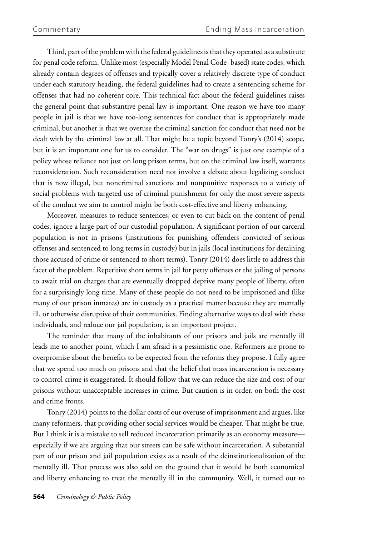Third, part of the problem with the federal guidelines is that they operated as a substitute for penal code reform. Unlike most (especially Model Penal Code–based) state codes, which already contain degrees of offenses and typically cover a relatively discrete type of conduct under each statutory heading, the federal guidelines had to create a sentencing scheme for offenses that had no coherent core. This technical fact about the federal guidelines raises the general point that substantive penal law is important. One reason we have too many people in jail is that we have too-long sentences for conduct that is appropriately made criminal, but another is that we overuse the criminal sanction for conduct that need not be dealt with by the criminal law at all. That might be a topic beyond Tonry's (2014) scope, but it is an important one for us to consider. The "war on drugs" is just one example of a policy whose reliance not just on long prison terms, but on the criminal law itself, warrants reconsideration. Such reconsideration need not involve a debate about legalizing conduct that is now illegal, but noncriminal sanctions and nonpunitive responses to a variety of social problems with targeted use of criminal punishment for only the most severe aspects of the conduct we aim to control might be both cost-effective and liberty enhancing.

Moreover, measures to reduce sentences, or even to cut back on the content of penal codes, ignore a large part of our custodial population. A significant portion of our carceral population is not in prisons (institutions for punishing offenders convicted of serious offenses and sentenced to long terms in custody) but in jails (local institutions for detaining those accused of crime or sentenced to short terms). Tonry (2014) does little to address this facet of the problem. Repetitive short terms in jail for petty offenses or the jailing of persons to await trial on charges that are eventually dropped deprive many people of liberty, often for a surprisingly long time. Many of these people do not need to be imprisoned and (like many of our prison inmates) are in custody as a practical matter because they are mentally ill, or otherwise disruptive of their communities. Finding alternative ways to deal with these individuals, and reduce our jail population, is an important project.

The reminder that many of the inhabitants of our prisons and jails are mentally ill leads me to another point, which I am afraid is a pessimistic one. Reformers are prone to overpromise about the benefits to be expected from the reforms they propose. I fully agree that we spend too much on prisons and that the belief that mass incarceration is necessary to control crime is exaggerated. It should follow that we can reduce the size and cost of our prisons without unacceptable increases in crime. But caution is in order, on both the cost and crime fronts.

Tonry (2014) points to the dollar costs of our overuse of imprisonment and argues, like many reformers, that providing other social services would be cheaper. That might be true. But I think it is a mistake to sell reduced incarceration primarily as an economy measure especially if we are arguing that our streets can be safe without incarceration. A substantial part of our prison and jail population exists as a result of the deinstitutionalization of the mentally ill. That process was also sold on the ground that it would be both economical and liberty enhancing to treat the mentally ill in the community. Well, it turned out to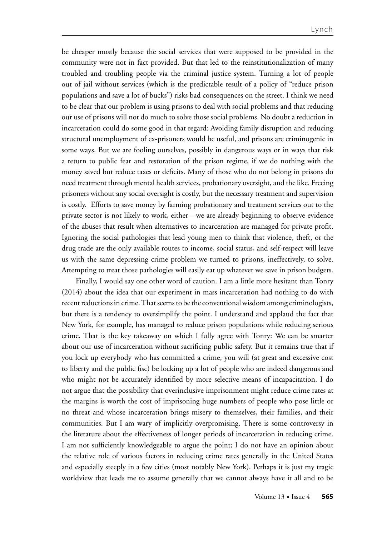be cheaper mostly because the social services that were supposed to be provided in the community were not in fact provided. But that led to the reinstitutionalization of many troubled and troubling people via the criminal justice system. Turning a lot of people out of jail without services (which is the predictable result of a policy of "reduce prison populations and save a lot of bucks") risks bad consequences on the street. I think we need to be clear that our problem is using prisons to deal with social problems and that reducing our use of prisons will not do much to solve those social problems. No doubt a reduction in incarceration could do some good in that regard: Avoiding family disruption and reducing structural unemployment of ex-prisoners would be useful, and prisons are criminogenic in some ways. But we are fooling ourselves, possibly in dangerous ways or in ways that risk a return to public fear and restoration of the prison regime, if we do nothing with the money saved but reduce taxes or deficits. Many of those who do not belong in prisons do need treatment through mental health services, probationary oversight, and the like. Freeing prisoners without any social oversight is costly, but the necessary treatment and supervision is costly. Efforts to save money by farming probationary and treatment services out to the private sector is not likely to work, either—we are already beginning to observe evidence of the abuses that result when alternatives to incarceration are managed for private profit. Ignoring the social pathologies that lead young men to think that violence, theft, or the drug trade are the only available routes to income, social status, and self-respect will leave us with the same depressing crime problem we turned to prisons, ineffectively, to solve. Attempting to treat those pathologies will easily eat up whatever we save in prison budgets.

Finally, I would say one other word of caution. I am a little more hesitant than Tonry (2014) about the idea that our experiment in mass incarceration had nothing to do with recent reductions in crime. That seems to be the conventional wisdom among criminologists, but there is a tendency to oversimplify the point. I understand and applaud the fact that New York, for example, has managed to reduce prison populations while reducing serious crime. That is the key takeaway on which I fully agree with Tonry: We can be smarter about our use of incarceration without sacrificing public safety. But it remains true that if you lock up everybody who has committed a crime, you will (at great and excessive cost to liberty and the public fisc) be locking up a lot of people who are indeed dangerous and who might not be accurately identified by more selective means of incapacitation. I do not argue that the possibility that overinclusive imprisonment might reduce crime rates at the margins is worth the cost of imprisoning huge numbers of people who pose little or no threat and whose incarceration brings misery to themselves, their families, and their communities. But I am wary of implicitly overpromising. There is some controversy in the literature about the effectiveness of longer periods of incarceration in reducing crime. I am not sufficiently knowledgeable to argue the point; I do not have an opinion about the relative role of various factors in reducing crime rates generally in the United States and especially steeply in a few cities (most notably New York). Perhaps it is just my tragic worldview that leads me to assume generally that we cannot always have it all and to be